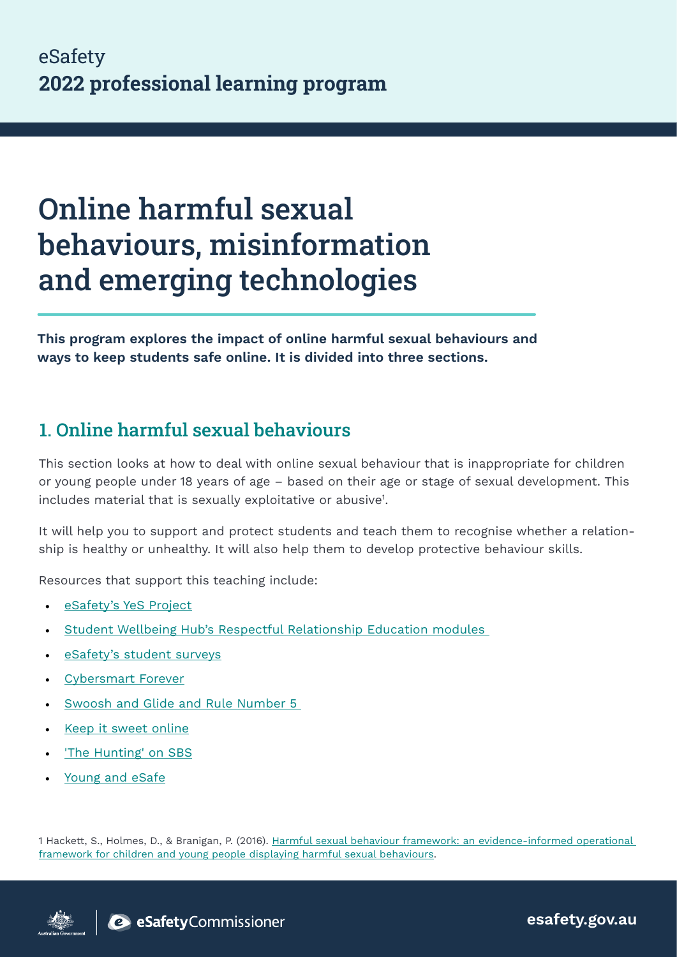# Online harmful sexual behaviours, misinformation and emerging technologies

This program explores the impact of online harmful sexual behaviours and ways to keep students safe online. It is divided into three sections.

## 1. Online harmful sexual behaviours

This section looks at how to deal with online sexual behaviour that is inappropriate for children or young people under 18 years of age – based on their age or stage of sexual development. This includes material that is sexually exploitative or abusive<sup>1</sup>.

It will help you to support and protect students and teach them to recognise whether a relationship is healthy or unhealthy. It will also help them to develop protective behaviour skills.

Resources that support this teaching include:

- [eSafety's YeS Project](https://www.esafety.gov.au/educators/classroom-resources/yes-project)
- [Student Wellbeing Hub's Respectful Relationship Education modules](https://studentwellbeinghub.edu.au/respect-matters/research-and-evidence/)
- [eSafety's student surveys](https://www.esafety.gov.au/educators/toolkit-for-schools/engage)
- [Cybersmart Forever](https://www.esafety.gov.au/educators/classroom-resources/cybersmart-challenge/cybersmart-forever)
- Swoosh and Glide and Rule Number 5
- [Keep it sweet online](https://www.esafety.gov.au/educators/classroom-resources/keep-it-sweet-online)
- ['The Hunting' on SBS](https://www.sbs.com.au/ondemand/program/the-hunting)
- [Young and eSafe](https://www.esafety.gov.au/educators/classroom-resources/young-and-esafe)

1 Hackett, S., Holmes, D., & Branigan, P. (2016). Harmful sexual behaviour framework: an evidence-informed operational [framework for children and young people displaying harmful sexual behaviours.](https://dro.dur.ac.uk/21038/1/21038.pdf)



esafety.gov.au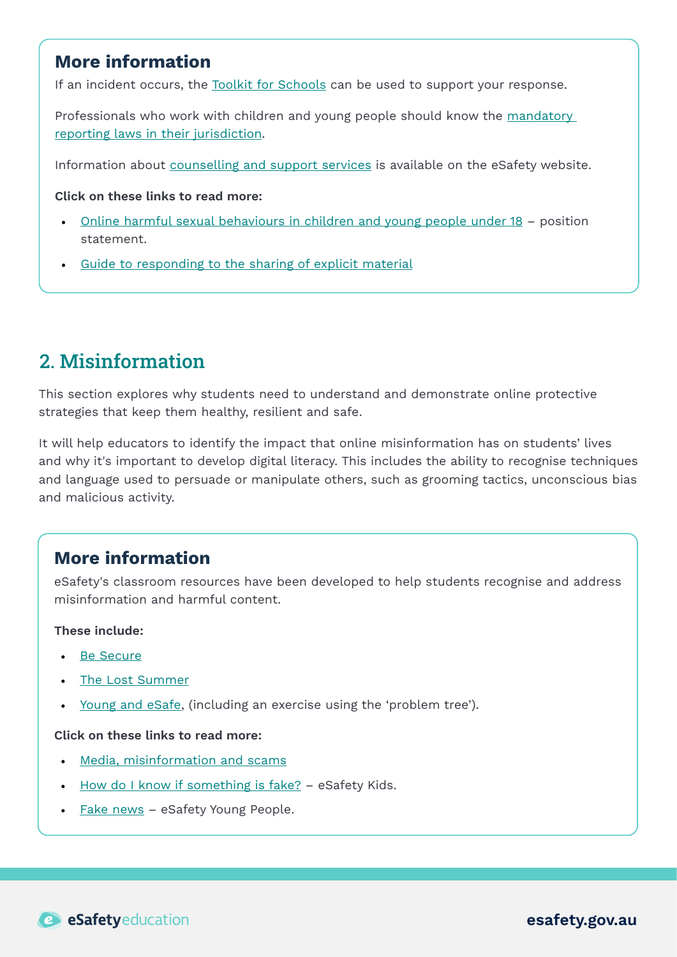## More information

If an incident occurs, the [Toolkit for Schools](https://www.esafety.gov.au/educators/toolkit-schools) can be used to support your response.

Professionals who work with children and young people should know the mandatory [reporting laws in their jurisdiction](https://aifs.gov.au/cfca/publications/mandatory-reporting-child-abuse-and-neglect).

Information about [counselling and support services](https://www.esafety.gov.au/about-us/counselling-support-services) is available on the eSafety website.

Click on these links to read more:

- [Online harmful sexual behaviours in children and young people under 18](https://www.esafety.gov.au/industry/tech-trends-and-challenges/harmful-sexual-behaviours-under-18?utm_medium=email&utm_campaign=Quiz%20email&utm_content=Quiz%20email%20&utm_source=Email%20marketing%20software&utm_term=Online%20harmful%20sexual%20behaviours%20in%20children%20and%20young%20people%20under%2018%20%20position%20statement)  position statement.
- [Guide to responding to the sharing of explicit material](https://www.esafety.gov.au/sites/default/files/2020-02/respond_4_-_guide_to_responding_to_the_sharing_of_explicit_material.pdf)

# 2. Misinformation

This section explores why students need to understand and demonstrate online protective strategies that keep them healthy, resilient and safe.

It will help educators to identify the impact that online misinformation has on students' lives and why it's important to develop digital literacy. This includes the ability to recognise techniques and language used to persuade or manipulate others, such as grooming tactics, unconscious bias and malicious activity.

#### More information

eSafety's classroom resources have been developed to help students recognise and address misinformation and harmful content.

These include:

- [Be Secure](https://www.esafety.gov.au/educators/classroom-resources/be-secure)
- [The Lost Summer](https://www.esafety.gov.au/educators/classroom-resources/lost-summer)
- [Young and eSafe](https://www.esafety.gov.au/educators/classroom-resources/young-and-esafe), (including an exercise using the 'problem tree').

#### Click on these links to read more:

- [Media, misinformation and scams](https://officeofesafetyuat.cmail20.com/t/j-l-walji-itidudllyu-td/)
- [How do I know if something is fake?](https://www.esafety.gov.au/kids/be-an-esafe-kid/how-do-i-know-if-something-is-fake)  eSafety Kids.
- [Fake news](https://www.esafety.gov.au/young-people/fake-news)  eSafety Young People.

esafety.gov.au